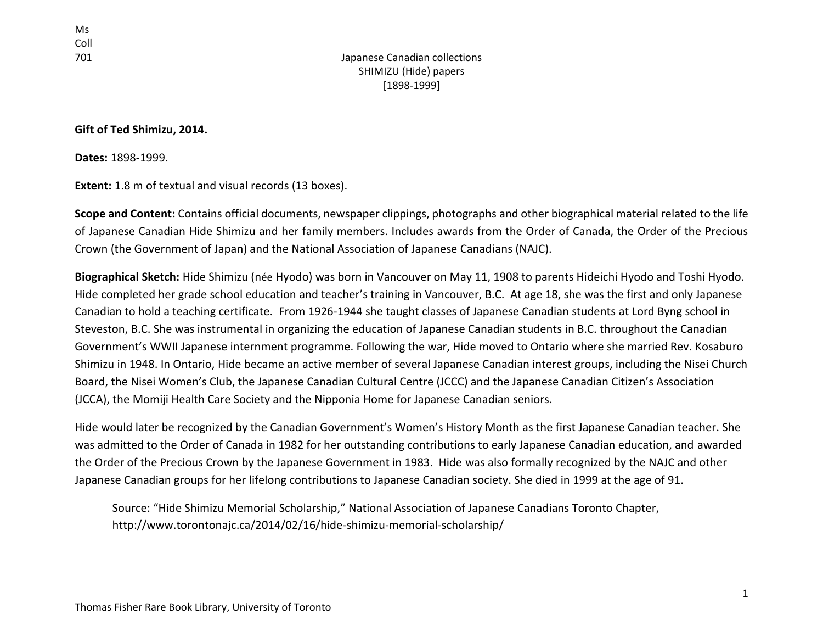### **Gift of Ted Shimizu, 2014.**

**Dates:** 1898-1999.

**Extent:** 1.8 m of textual and visual records (13 boxes).

**Scope and Content:** Contains official documents, newspaper clippings, photographs and other biographical material related to the life of Japanese Canadian Hide Shimizu and her family members. Includes awards from the Order of Canada, the Order of the Precious Crown (the Government of Japan) and the National Association of Japanese Canadians (NAJC).

**Biographical Sketch:** Hide Shimizu (née Hyodo) was born in Vancouver on May 11, 1908 to parents Hideichi Hyodo and Toshi Hyodo. Hide completed her grade school education and teacher's training in Vancouver, B.C. At age 18, she was the first and only Japanese Canadian to hold a teaching certificate. From 1926-1944 she taught classes of Japanese Canadian students at Lord Byng school in Steveston, B.C. She was instrumental in organizing the education of Japanese Canadian students in B.C. throughout the Canadian Government's WWII Japanese internment programme. Following the war, Hide moved to Ontario where she married Rev. Kosaburo Shimizu in 1948. In Ontario, Hide became an active member of several Japanese Canadian interest groups, including the Nisei Church Board, the Nisei Women's Club, the Japanese Canadian Cultural Centre (JCCC) and the Japanese Canadian Citizen's Association (JCCA), the Momiji Health Care Society and the Nipponia Home for Japanese Canadian seniors.

Hide would later be recognized by the Canadian Government's Women's History Month as the first Japanese Canadian teacher. She was admitted to the Order of Canada in 1982 for her outstanding contributions to early Japanese Canadian education, and awarded the Order of the Precious Crown by the Japanese Government in 1983. Hide was also formally recognized by the NAJC and other Japanese Canadian groups for her lifelong contributions to Japanese Canadian society. She died in 1999 at the age of 91.

Source: "Hide Shimizu Memorial Scholarship," National Association of Japanese Canadians Toronto Chapter, http://www.torontonajc.ca/2014/02/16/hide-shimizu-memorial-scholarship/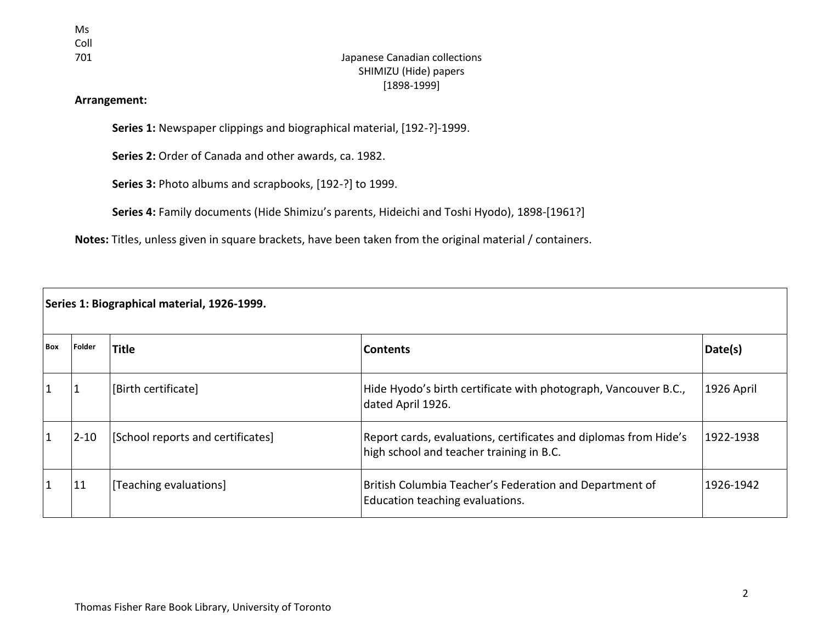Ms Coll<br>701

# Japanese Canadian collections SHIMIZU (Hide) papers [1898-1999]

### **Arrangement:**

**Series 1:** Newspaper clippings and biographical material, [192-?]-1999.

**Series 2:** Order of Canada and other awards, ca. 1982.

**Series 3:** Photo albums and scrapbooks, [192-?] to 1999.

**Series 4:** Family documents (Hide Shimizu's parents, Hideichi and Toshi Hyodo), 1898-[1961?]

**Notes:** Titles, unless given in square brackets, have been taken from the original material / containers.

| Series 1: Biographical material, 1926-1999. |          |                                   |                                                                                                              |            |  |
|---------------------------------------------|----------|-----------------------------------|--------------------------------------------------------------------------------------------------------------|------------|--|
| <b>Box</b>                                  | Folder   | <b>Title</b>                      | <b>Contents</b>                                                                                              | Date(s)    |  |
|                                             |          | [Birth certificate]               | Hide Hyodo's birth certificate with photograph, Vancouver B.C.,<br>dated April 1926.                         | 1926 April |  |
| 1                                           | $2 - 10$ | [School reports and certificates] | Report cards, evaluations, certificates and diplomas from Hide's<br>high school and teacher training in B.C. | 1922-1938  |  |
|                                             | 11       | [Teaching evaluations]            | British Columbia Teacher's Federation and Department of<br>Education teaching evaluations.                   | 1926-1942  |  |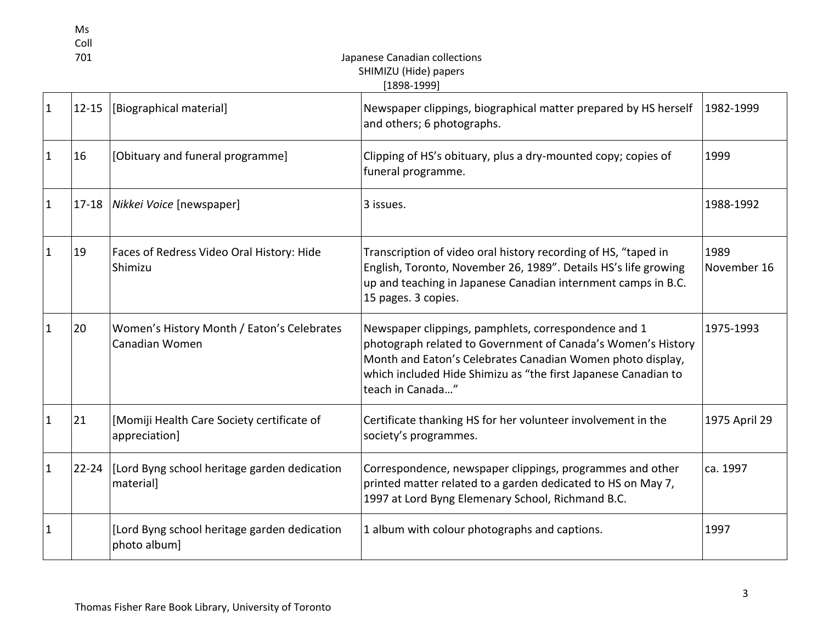| Ms   |
|------|
| Coll |
|      |

# 701 Japanese Canadian collections SHIMIZU (Hide) papers  $[1898-1999]$

| $\mathbf{1}$ | $12 - 15$ | [Biographical material]                                      | Newspaper clippings, biographical matter prepared by HS herself<br>and others; 6 photographs.                                                                                                                                                                            | 1982-1999           |
|--------------|-----------|--------------------------------------------------------------|--------------------------------------------------------------------------------------------------------------------------------------------------------------------------------------------------------------------------------------------------------------------------|---------------------|
| $\mathbf{1}$ | 16        | [Obituary and funeral programme]                             | Clipping of HS's obituary, plus a dry-mounted copy; copies of<br>funeral programme.                                                                                                                                                                                      | 1999                |
| $\mathbf{1}$ | $17 - 18$ | Nikkei Voice [newspaper]                                     | 3 issues.                                                                                                                                                                                                                                                                | 1988-1992           |
| $\mathbf{1}$ | 19        | Faces of Redress Video Oral History: Hide<br>Shimizu         | Transcription of video oral history recording of HS, "taped in<br>English, Toronto, November 26, 1989". Details HS's life growing<br>up and teaching in Japanese Canadian internment camps in B.C.<br>15 pages. 3 copies.                                                | 1989<br>November 16 |
| 1            | 20        | Women's History Month / Eaton's Celebrates<br>Canadian Women | Newspaper clippings, pamphlets, correspondence and 1<br>photograph related to Government of Canada's Women's History<br>Month and Eaton's Celebrates Canadian Women photo display,<br>which included Hide Shimizu as "the first Japanese Canadian to<br>teach in Canada" | 1975-1993           |
| $\mathbf{1}$ | 21        | [Momiji Health Care Society certificate of<br>appreciation]  | Certificate thanking HS for her volunteer involvement in the<br>society's programmes.                                                                                                                                                                                    | 1975 April 29       |
| 1            | $22 - 24$ | [Lord Byng school heritage garden dedication]<br>material]   | Correspondence, newspaper clippings, programmes and other<br>printed matter related to a garden dedicated to HS on May 7,<br>1997 at Lord Byng Elemenary School, Richmand B.C.                                                                                           | ca. 1997            |
| 1            |           | [Lord Byng school heritage garden dedication<br>photo album] | 1 album with colour photographs and captions.                                                                                                                                                                                                                            | 1997                |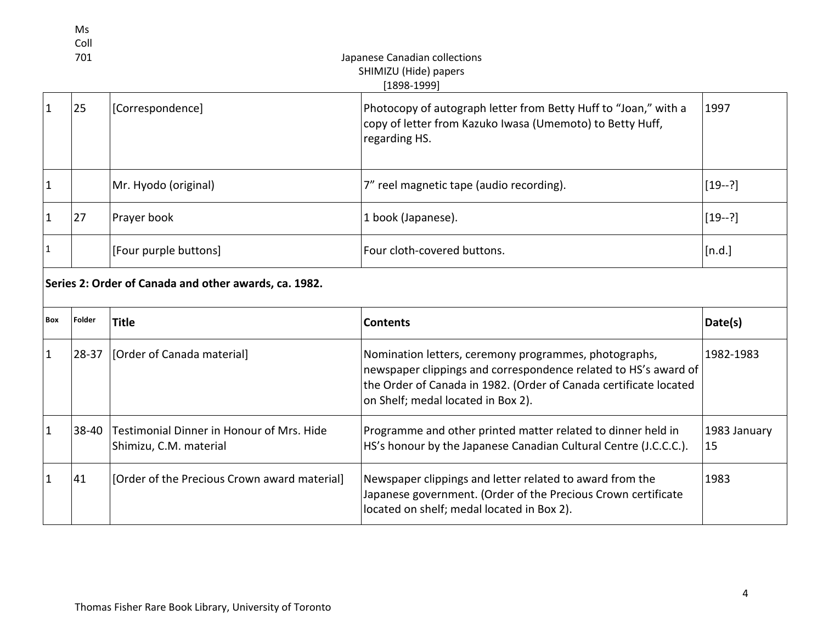|              | Ms<br>Coll<br>701                                     |                                                                     | Japanese Canadian collections<br>SHIMIZU (Hide) papers<br>$[1898-1999]$                                                                                                                                                             |                    |  |  |
|--------------|-------------------------------------------------------|---------------------------------------------------------------------|-------------------------------------------------------------------------------------------------------------------------------------------------------------------------------------------------------------------------------------|--------------------|--|--|
| $\mathbf{1}$ | 25                                                    | [Correspondence]                                                    | Photocopy of autograph letter from Betty Huff to "Joan," with a<br>copy of letter from Kazuko Iwasa (Umemoto) to Betty Huff,<br>regarding HS.                                                                                       | 1997               |  |  |
| $\mathbf{1}$ |                                                       | Mr. Hyodo (original)                                                | 7" reel magnetic tape (audio recording).                                                                                                                                                                                            | $[19-?]$           |  |  |
| $\mathbf{1}$ | 27                                                    | Prayer book                                                         | 1 book (Japanese).                                                                                                                                                                                                                  | $[19-?]$           |  |  |
| 1            |                                                       | [Four purple buttons]                                               | Four cloth-covered buttons.                                                                                                                                                                                                         | [n.d.]             |  |  |
|              | Series 2: Order of Canada and other awards, ca. 1982. |                                                                     |                                                                                                                                                                                                                                     |                    |  |  |
| <b>Box</b>   | Folder                                                | <b>Title</b>                                                        | <b>Contents</b>                                                                                                                                                                                                                     | Date(s)            |  |  |
| 1            | $28 - 37$                                             | [Order of Canada material]                                          | Nomination letters, ceremony programmes, photographs,<br>newspaper clippings and correspondence related to HS's award of<br>the Order of Canada in 1982. (Order of Canada certificate located<br>on Shelf; medal located in Box 2). | 1982-1983          |  |  |
| $\mathbf{1}$ | 38-40                                                 | Testimonial Dinner in Honour of Mrs. Hide<br>Shimizu, C.M. material | Programme and other printed matter related to dinner held in<br>HS's honour by the Japanese Canadian Cultural Centre (J.C.C.C.).                                                                                                    | 1983 January<br>15 |  |  |
| $\mathbf{1}$ | 41                                                    | [Order of the Precious Crown award material]                        | Newspaper clippings and letter related to award from the<br>Japanese government. (Order of the Precious Crown certificate<br>located on shelf; medal located in Box 2).                                                             | 1983               |  |  |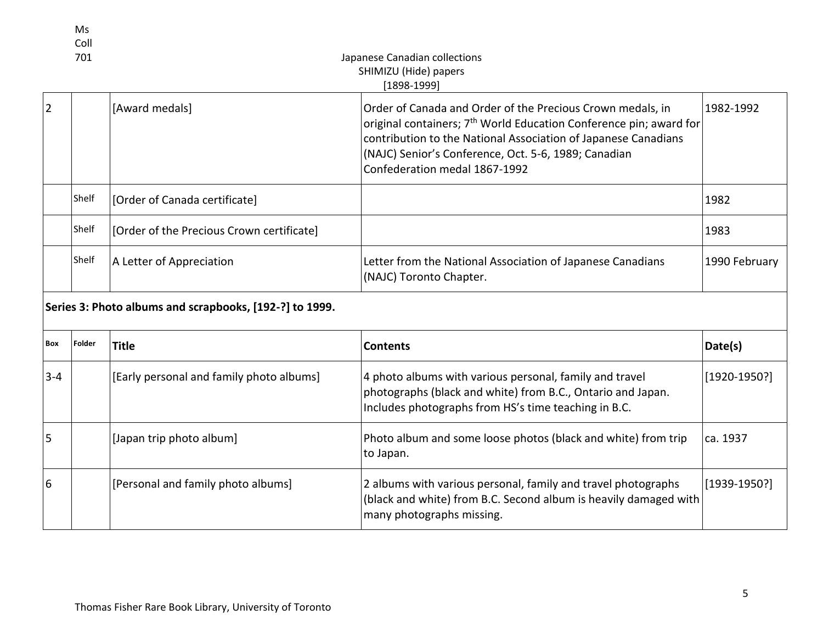|                | Ms<br>Coll<br>701 |                                                         | Japanese Canadian collections<br>SHIMIZU (Hide) papers<br>$[1898 - 1999]$                                                                                                                                                                                                                               |                |
|----------------|-------------------|---------------------------------------------------------|---------------------------------------------------------------------------------------------------------------------------------------------------------------------------------------------------------------------------------------------------------------------------------------------------------|----------------|
| $\overline{2}$ |                   | [Award medals]                                          | Order of Canada and Order of the Precious Crown medals, in<br>original containers; 7 <sup>th</sup> World Education Conference pin; award for<br>contribution to the National Association of Japanese Canadians<br>(NAJC) Senior's Conference, Oct. 5-6, 1989; Canadian<br>Confederation medal 1867-1992 | 1982-1992      |
|                | Shelf             | [Order of Canada certificate]                           |                                                                                                                                                                                                                                                                                                         | 1982           |
|                | Shelf             | [Order of the Precious Crown certificate]               |                                                                                                                                                                                                                                                                                                         | 1983           |
|                | Shelf             | A Letter of Appreciation                                | Letter from the National Association of Japanese Canadians<br>(NAJC) Toronto Chapter.                                                                                                                                                                                                                   | 1990 February  |
|                |                   | Series 3: Photo albums and scrapbooks, [192-?] to 1999. |                                                                                                                                                                                                                                                                                                         |                |
| Box            | Folder            | <b>Title</b>                                            | <b>Contents</b>                                                                                                                                                                                                                                                                                         | Date(s)        |
| $3 - 4$        |                   | [Early personal and family photo albums]                | 4 photo albums with various personal, family and travel<br>photographs (black and white) from B.C., Ontario and Japan.<br>Includes photographs from HS's time teaching in B.C.                                                                                                                          | $[1920-1950?]$ |
| 5              |                   | [Japan trip photo album]                                | Photo album and some loose photos (black and white) from trip<br>to Japan.                                                                                                                                                                                                                              | ca. 1937       |
| 6              |                   | [Personal and family photo albums]                      | 2 albums with various personal, family and travel photographs<br>(black and white) from B.C. Second album is heavily damaged with<br>many photographs missing.                                                                                                                                          | $[1939-1950?]$ |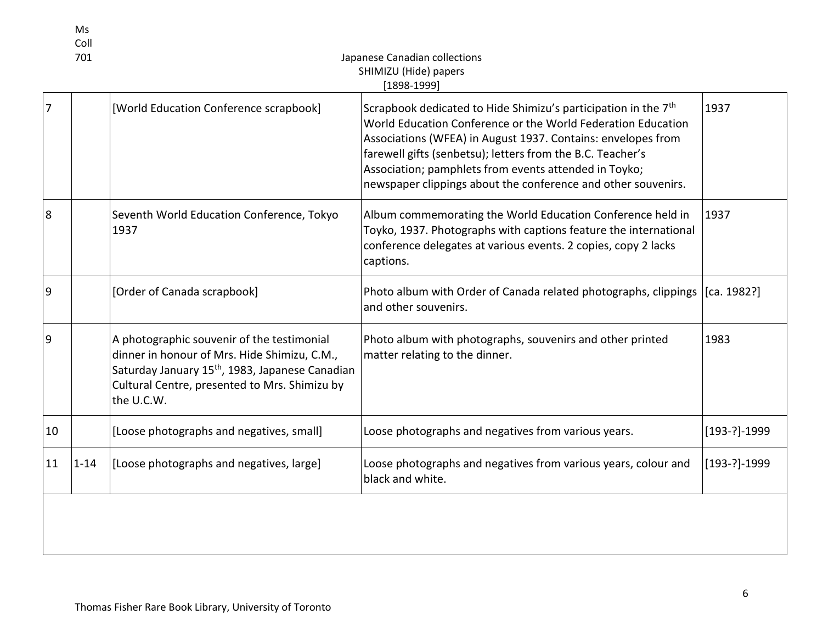|                | Ms<br>Coll<br>701 |                                                                                                                                                                                                                          | Japanese Canadian collections<br>SHIMIZU (Hide) papers<br>$[1898-1999]$                                                                                                                                                                                                                                                                                                                            |                  |
|----------------|-------------------|--------------------------------------------------------------------------------------------------------------------------------------------------------------------------------------------------------------------------|----------------------------------------------------------------------------------------------------------------------------------------------------------------------------------------------------------------------------------------------------------------------------------------------------------------------------------------------------------------------------------------------------|------------------|
| 7              |                   | [World Education Conference scrapbook]                                                                                                                                                                                   | Scrapbook dedicated to Hide Shimizu's participation in the 7 <sup>th</sup><br>World Education Conference or the World Federation Education<br>Associations (WFEA) in August 1937. Contains: envelopes from<br>farewell gifts (senbetsu); letters from the B.C. Teacher's<br>Association; pamphlets from events attended in Toyko;<br>newspaper clippings about the conference and other souvenirs. | 1937             |
| 8              |                   | Seventh World Education Conference, Tokyo<br>1937                                                                                                                                                                        | Album commemorating the World Education Conference held in<br>Toyko, 1937. Photographs with captions feature the international<br>conference delegates at various events. 2 copies, copy 2 lacks<br>captions.                                                                                                                                                                                      | 1937             |
| $\overline{9}$ |                   | [Order of Canada scrapbook]                                                                                                                                                                                              | Photo album with Order of Canada related photographs, clippings<br>and other souvenirs.                                                                                                                                                                                                                                                                                                            | [ca. 1982?]      |
| 9              |                   | A photographic souvenir of the testimonial<br>dinner in honour of Mrs. Hide Shimizu, C.M.,<br>Saturday January 15 <sup>th</sup> , 1983, Japanese Canadian<br>Cultural Centre, presented to Mrs. Shimizu by<br>the U.C.W. | Photo album with photographs, souvenirs and other printed<br>matter relating to the dinner.                                                                                                                                                                                                                                                                                                        | 1983             |
| 10             |                   | [Loose photographs and negatives, small]                                                                                                                                                                                 | Loose photographs and negatives from various years.                                                                                                                                                                                                                                                                                                                                                | $[193-?] - 1999$ |
| 11             | $1 - 14$          | [Loose photographs and negatives, large]                                                                                                                                                                                 | Loose photographs and negatives from various years, colour and<br>black and white.                                                                                                                                                                                                                                                                                                                 | $[193-?] - 1999$ |
|                |                   |                                                                                                                                                                                                                          |                                                                                                                                                                                                                                                                                                                                                                                                    |                  |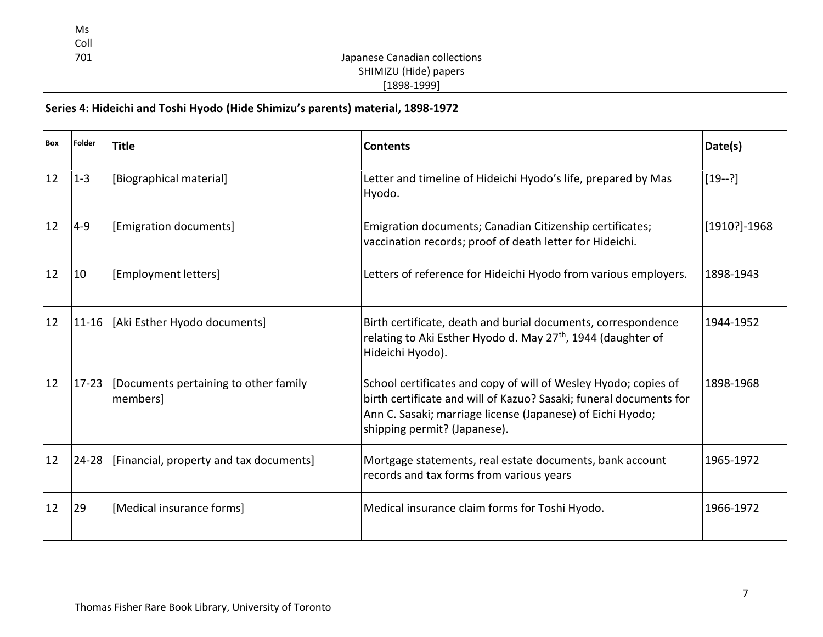Ms Coll<br>701

- F

# Japanese Canadian collections SHIMIZU (Hide) papers [1898-1999]

| Series 4: Hideichi and Toshi Hyodo (Hide Shimizu's parents) material, 1898-1972 |           |                                                         |                                                                                                                                                                                                                                     |              |
|---------------------------------------------------------------------------------|-----------|---------------------------------------------------------|-------------------------------------------------------------------------------------------------------------------------------------------------------------------------------------------------------------------------------------|--------------|
| Box                                                                             | Folder    | <b>Title</b>                                            | <b>Contents</b>                                                                                                                                                                                                                     | Date(s)      |
| 12                                                                              | $1 - 3$   | [Biographical material]                                 | Letter and timeline of Hideichi Hyodo's life, prepared by Mas<br>Hyodo.                                                                                                                                                             | $[19-?]$     |
| 12                                                                              | $4 - 9$   | [Emigration documents]                                  | Emigration documents; Canadian Citizenship certificates;<br>vaccination records; proof of death letter for Hideichi.                                                                                                                | [1910?]-1968 |
| 12                                                                              | 10        | [Employment letters]                                    | Letters of reference for Hideichi Hyodo from various employers.                                                                                                                                                                     | 1898-1943    |
| 12                                                                              |           | 11-16  [Aki Esther Hyodo documents]                     | Birth certificate, death and burial documents, correspondence<br>relating to Aki Esther Hyodo d. May 27 <sup>th</sup> , 1944 (daughter of<br>Hideichi Hyodo).                                                                       | 1944-1952    |
| 12                                                                              |           | 17-23 [Documents pertaining to other family<br>members] | School certificates and copy of will of Wesley Hyodo; copies of<br>birth certificate and will of Kazuo? Sasaki; funeral documents for<br>Ann C. Sasaki; marriage license (Japanese) of Eichi Hyodo;<br>shipping permit? (Japanese). | 1898-1968    |
| 12                                                                              | $24 - 28$ | [Financial, property and tax documents]                 | Mortgage statements, real estate documents, bank account<br>records and tax forms from various years                                                                                                                                | 1965-1972    |
| 12                                                                              | 29        | [Medical insurance forms]                               | Medical insurance claim forms for Toshi Hyodo.                                                                                                                                                                                      | 1966-1972    |